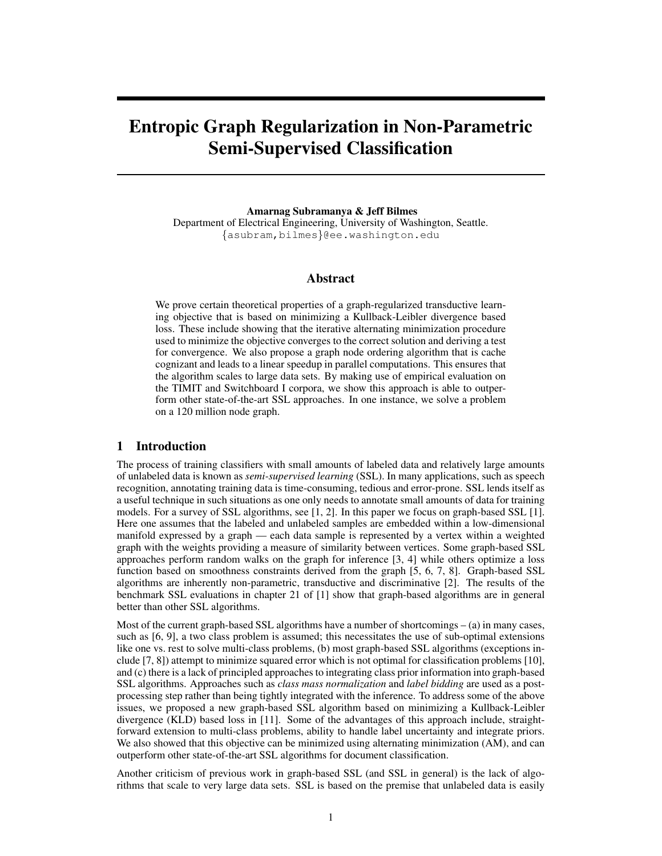# Entropic Graph Regularization in Non-Parametric Semi-Supervised Classification

Amarnag Subramanya & Jeff Bilmes Department of Electrical Engineering, University of Washington, Seattle. {asubram,bilmes}@ee.washington.edu

# Abstract

We prove certain theoretical properties of a graph-regularized transductive learning objective that is based on minimizing a Kullback-Leibler divergence based loss. These include showing that the iterative alternating minimization procedure used to minimize the objective converges to the correct solution and deriving a test for convergence. We also propose a graph node ordering algorithm that is cache cognizant and leads to a linear speedup in parallel computations. This ensures that the algorithm scales to large data sets. By making use of empirical evaluation on the TIMIT and Switchboard I corpora, we show this approach is able to outperform other state-of-the-art SSL approaches. In one instance, we solve a problem on a 120 million node graph.

#### 1 Introduction

The process of training classifiers with small amounts of labeled data and relatively large amounts of unlabeled data is known as *semi-supervised learning* (SSL). In many applications, such as speech recognition, annotating training data is time-consuming, tedious and error-prone. SSL lends itself as a useful technique in such situations as one only needs to annotate small amounts of data for training models. For a survey of SSL algorithms, see [1, 2]. In this paper we focus on graph-based SSL [1]. Here one assumes that the labeled and unlabeled samples are embedded within a low-dimensional manifold expressed by a graph — each data sample is represented by a vertex within a weighted graph with the weights providing a measure of similarity between vertices. Some graph-based SSL approaches perform random walks on the graph for inference [3, 4] while others optimize a loss function based on smoothness constraints derived from the graph [5, 6, 7, 8]. Graph-based SSL algorithms are inherently non-parametric, transductive and discriminative [2]. The results of the benchmark SSL evaluations in chapter 21 of [1] show that graph-based algorithms are in general better than other SSL algorithms.

Most of the current graph-based SSL algorithms have a number of shortcomings – (a) in many cases, such as [6, 9], a two class problem is assumed; this necessitates the use of sub-optimal extensions like one vs. rest to solve multi-class problems, (b) most graph-based SSL algorithms (exceptions include [7, 8]) attempt to minimize squared error which is not optimal for classification problems [10], and (c) there is a lack of principled approaches to integrating class prior information into graph-based SSL algorithms. Approaches such as *class mass normalization* and *label bidding* are used as a postprocessing step rather than being tightly integrated with the inference. To address some of the above issues, we proposed a new graph-based SSL algorithm based on minimizing a Kullback-Leibler divergence (KLD) based loss in [11]. Some of the advantages of this approach include, straightforward extension to multi-class problems, ability to handle label uncertainty and integrate priors. We also showed that this objective can be minimized using alternating minimization (AM), and can outperform other state-of-the-art SSL algorithms for document classification.

Another criticism of previous work in graph-based SSL (and SSL in general) is the lack of algorithms that scale to very large data sets. SSL is based on the premise that unlabeled data is easily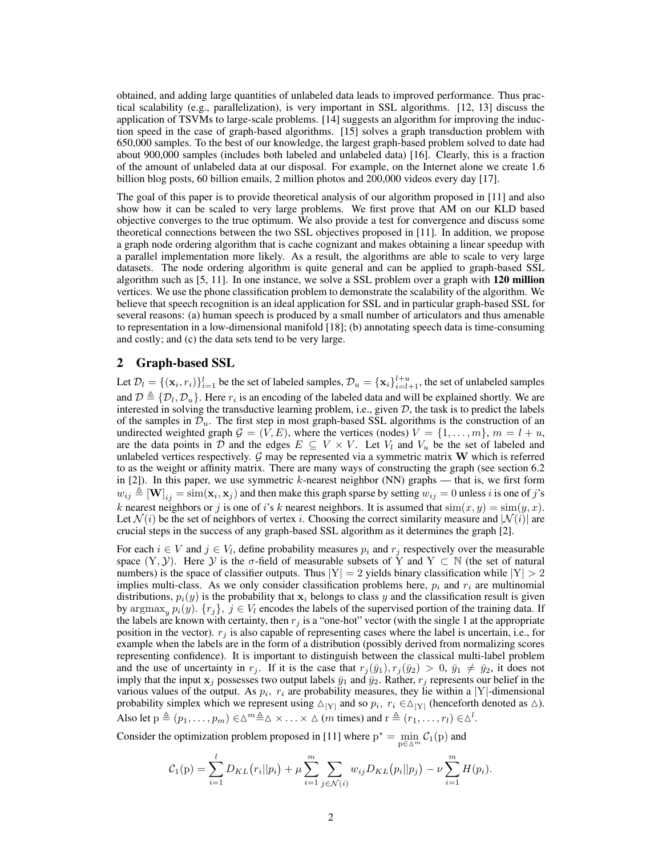obtained, and adding large quantities of unlabeled data leads to improved performance. Thus practical scalability (e.g., parallelization), is very important in SSL algorithms. [12, 13] discuss the application of TSVMs to large-scale problems. [14] suggests an algorithm for improving the induction speed in the case of graph-based algorithms. [15] solves a graph transduction problem with 650,000 samples. To the best of our knowledge, the largest graph-based problem solved to date had about 900,000 samples (includes both labeled and unlabeled data) [16]. Clearly, this is a fraction of the amount of unlabeled data at our disposal. For example, on the Internet alone we create 1.6 billion blog posts, 60 billion emails, 2 million photos and 200,000 videos every day [17].

The goal of this paper is to provide theoretical analysis of our algorithm proposed in [11] and also show how it can be scaled to very large problems. We first prove that AM on our KLD based objective converges to the true optimum. We also provide a test for convergence and discuss some theoretical connections between the two SSL objectives proposed in [11]. In addition, we propose a graph node ordering algorithm that is cache cognizant and makes obtaining a linear speedup with a parallel implementation more likely. As a result, the algorithms are able to scale to very large datasets. The node ordering algorithm is quite general and can be applied to graph-based SSL algorithm such as [5, 11]. In one instance, we solve a SSL problem over a graph with 120 million vertices. We use the phone classification problem to demonstrate the scalability of the algorithm. We believe that speech recognition is an ideal application for SSL and in particular graph-based SSL for several reasons: (a) human speech is produced by a small number of articulators and thus amenable to representation in a low-dimensional manifold [18]; (b) annotating speech data is time-consuming and costly; and (c) the data sets tend to be very large.

## 2 Graph-based SSL

Let  $\mathcal{D}_l = \{(\mathbf{x}_i, r_i)\}_{i=1}^l$  be the set of labeled samples,  $\mathcal{D}_u = \{\mathbf{x}_i\}_{i=l+1}^{l+u}$ , the set of unlabeled samples and  $\mathcal{D} \triangleq \{\mathcal{D}_l, \mathcal{D}_u\}$ . Here  $r_i$  is an encoding of the labeled data and will be explained shortly. We are interested in solving the transductive learning problem, i.e., given  $D$ , the task is to predict the labels of the samples in  $\mathcal{D}_u$ . The first step in most graph-based SSL algorithms is the construction of an undirected weighted graph  $G = (V, E)$ , where the vertices (nodes)  $V = \{1, \ldots, m\}$ ,  $m = l + u$ , are the data points in D and the edges  $E \subseteq V \times V$ . Let  $V_l$  and  $V_u$  be the set of labeled and unlabeled vertices respectively.  $G$  may be represented via a symmetric matrix  $W$  which is referred to as the weight or affinity matrix. There are many ways of constructing the graph (see section 6.2 in  $[2]$ ). In this paper, we use symmetric k-nearest neighbor (NN) graphs — that is, we first form  $w_{ij} \triangleq [\mathbf{W}]_{ij} = \text{sim}(\mathbf{x}_i, \mathbf{x}_j)$  and then make this graph sparse by setting  $w_{ij} = 0$  unless i is one of j's k nearest neighbors or j is one of i's k nearest neighbors. It is assumed that  $\sin(x, y) = \sin(y, x)$ . Let  $\mathcal{N}(i)$  be the set of neighbors of vertex i. Choosing the correct similarity measure and  $|\mathcal{N}(i)|$  are crucial steps in the success of any graph-based SSL algorithm as it determines the graph [2].

For each  $i \in V$  and  $j \in V_l$ , define probability measures  $p_i$  and  $r_j$  respectively over the measurable space  $(Y, Y)$ . Here Y is the  $\sigma$ -field of measurable subsets of Y and Y  $\subset \mathbb{N}$  (the set of natural numbers) is the space of classifier outputs. Thus  $|Y| = 2$  yields binary classification while  $|Y| > 2$ implies multi-class. As we only consider classification problems here,  $p_i$  and  $r_i$  are multinomial distributions,  $p_i(y)$  is the probability that  $x_i$  belongs to class y and the classification result is given by argmax<sub>y</sub>  $p_i(y)$ .  $\{r_j\}$ ,  $j \in V_l$  encodes the labels of the supervised portion of the training data. If the labels are known with certainty, then  $r_j$  is a "one-hot" vector (with the single 1 at the appropriate position in the vector).  $r_i$  is also capable of representing cases where the label is uncertain, i.e., for example when the labels are in the form of a distribution (possibly derived from normalizing scores representing confidence). It is important to distinguish between the classical multi-label problem and the use of uncertainty in  $r_j$ . If it is the case that  $r_j(\bar{y}_1), r_j(\bar{y}_2) > 0$ ,  $\bar{y}_1 \neq \bar{y}_2$ , it does not imply that the input  $x_j$  possesses two output labels  $\bar{y}_1$  and  $\bar{y}_2$ . Rather,  $r_j$  represents our belief in the various values of the output. As  $p_i$ ,  $r_i$  are probability measures, they lie within a |Y|-dimensional probability simplex which we represent using  $\Delta|Y|$  and so  $p_i$ ,  $r_i \in \Delta|Y|$  (henceforth denoted as  $\Delta$ ). Also let  $p \triangleq (p_1, \ldots, p_m) \in \triangle^m \triangleq \triangle \times \ldots \times \triangle$  (*m* times) and  $r \triangleq (r_1, \ldots, r_l) \in \triangle^l$ .

Consider the optimization problem proposed in [11] where  $p^* = \min_{p \in \Delta^m} C_1(p)$  and

$$
C_1(p) = \sum_{i=1}^l D_{KL}(r_i||p_i) + \mu \sum_{i=1}^m \sum_{j \in \mathcal{N}(i)} w_{ij} D_{KL}(p_i||p_j) - \nu \sum_{i=1}^m H(p_i).
$$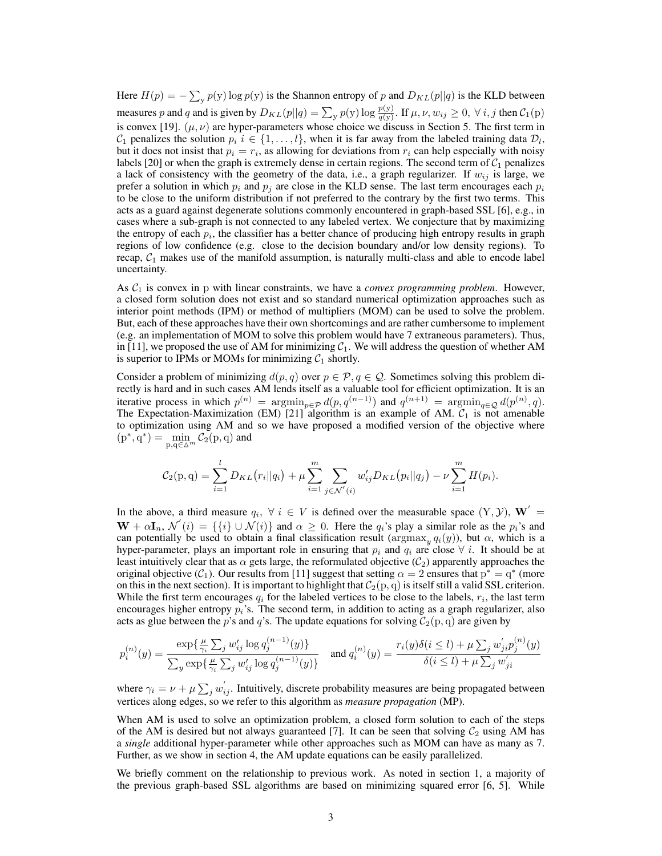Here  $H(p) = -\sum_{y} p(y) \log p(y)$  is the Shannon entropy of p and  $D_{KL}(p||q)$  is the KLD between measures p and q and is given by  $D_{KL}(p||q) = \sum_{y} p(y) \log \frac{p(y)}{q(y)}$ . If  $\mu, \nu, w_{ij} \ge 0$ ,  $\forall i, j$  then  $C_1(p)$ is convex [19].  $(\mu, \nu)$  are hyper-parameters whose choice we discuss in Section 5. The first term in  $\mathcal{C}_1$  penalizes the solution  $p_i$   $i \in \{1, ..., l\}$ , when it is far away from the labeled training data  $\mathcal{D}_l$ , but it does not insist that  $p_i = r_i$ , as allowing for deviations from  $r_i$  can help especially with noisy labels [20] or when the graph is extremely dense in certain regions. The second term of  $C_1$  penalizes a lack of consistency with the geometry of the data, i.e., a graph regularizer. If  $w_{ij}$  is large, we prefer a solution in which  $p_i$  and  $p_j$  are close in the KLD sense. The last term encourages each  $p_i$ to be close to the uniform distribution if not preferred to the contrary by the first two terms. This acts as a guard against degenerate solutions commonly encountered in graph-based SSL [6], e.g., in cases where a sub-graph is not connected to any labeled vertex. We conjecture that by maximizing the entropy of each  $p_i$ , the classifier has a better chance of producing high entropy results in graph regions of low confidence (e.g. close to the decision boundary and/or low density regions). To recap,  $C_1$  makes use of the manifold assumption, is naturally multi-class and able to encode label uncertainty.

As  $C_1$  is convex in p with linear constraints, we have a *convex programming problem*. However, a closed form solution does not exist and so standard numerical optimization approaches such as interior point methods (IPM) or method of multipliers (MOM) can be used to solve the problem. But, each of these approaches have their own shortcomings and are rather cumbersome to implement (e.g. an implementation of MOM to solve this problem would have 7 extraneous parameters). Thus, in [11], we proposed the use of AM for minimizing  $C_1$ . We will address the question of whether AM is superior to IPMs or MOMs for minimizing  $C_1$  shortly.

Consider a problem of minimizing  $d(p, q)$  over  $p \in \mathcal{P}, q \in \mathcal{Q}$ . Sometimes solving this problem directly is hard and in such cases AM lends itself as a valuable tool for efficient optimization. It is an iterative process in which  $p^{(n)} = \argmin_{p \in \mathcal{P}} d(p, q^{(n-1)})$  and  $q^{(n+1)} = \argmin_{q \in \mathcal{Q}} d(p^{(n)}, q)$ . The Expectation-Maximization (EM) [21] algorithm is an example of AM.  $C_1$  is not amenable to optimization using AM and so we have proposed a modified version of the objective where  $(p^*, q^*) = \min_{p,q \in \Delta^m} C_2(p,q)$  and

$$
C_2(p,q) = \sum_{i=1}^l D_{KL}(r_i||q_i) + \mu \sum_{i=1}^m \sum_{j \in \mathcal{N}'(i)} w'_{ij} D_{KL}(p_i||q_j) - \nu \sum_{i=1}^m H(p_i).
$$

In the above, a third measure  $q_i, \forall i \in V$  is defined over the measurable space  $(Y, Y)$ ,  $W' =$  $\mathbf{W} + \alpha \mathbf{I}_n$ ,  $\mathcal{N}'(i) = \{\{i\} \cup \mathcal{N}(i)\}\$ and  $\alpha \geq 0$ . Here the  $q_i$ 's play a similar role as the  $p_i$ 's and can potentially be used to obtain a final classification result ( $\argmax_y q_i(y)$ ), but  $\alpha$ , which is a hyper-parameter, plays an important role in ensuring that  $p_i$  and  $q_i$  are close  $\forall i$ . It should be at least intuitively clear that as  $\alpha$  gets large, the reformulated objective ( $C_2$ ) apparently approaches the original objective ( $C_1$ ). Our results from [11] suggest that setting  $\alpha = 2$  ensures that  $p^* = q^*$  (more on this in the next section). It is important to highlight that  $C_2(p, q)$  is itself still a valid SSL criterion. While the first term encourages  $q_i$  for the labeled vertices to be close to the labels,  $r_i$ , the last term encourages higher entropy  $p_i$ 's. The second term, in addition to acting as a graph regularizer, also acts as glue between the p's and q's. The update equations for solving  $C_2(p, q)$  are given by

$$
p_i^{(n)}(y) = \frac{\exp\{\frac{\mu}{\gamma_i} \sum_j w'_{ij} \log q_j^{(n-1)}(y)\}}{\sum_y \exp\{\frac{\mu}{\gamma_i} \sum_j w'_{ij} \log q_j^{(n-1)}(y)\}} \quad \text{and } q_i^{(n)}(y) = \frac{r_i(y)\delta(i \le l) + \mu \sum_j w'_{ji} p_j^{(n)}(y)}{\delta(i \le l) + \mu \sum_j w'_{ji}}
$$

where  $\gamma_i = \nu + \mu \sum_j w_{ij}^{'}$ . Intuitively, discrete probability measures are being propagated between vertices along edges, so we refer to this algorithm as *measure propagation* (MP).

When AM is used to solve an optimization problem, a closed form solution to each of the steps of the AM is desired but not always guaranteed [7]. It can be seen that solving  $C_2$  using AM has a *single* additional hyper-parameter while other approaches such as MOM can have as many as 7. Further, as we show in section 4, the AM update equations can be easily parallelized.

We briefly comment on the relationship to previous work. As noted in section 1, a majority of the previous graph-based SSL algorithms are based on minimizing squared error [6, 5]. While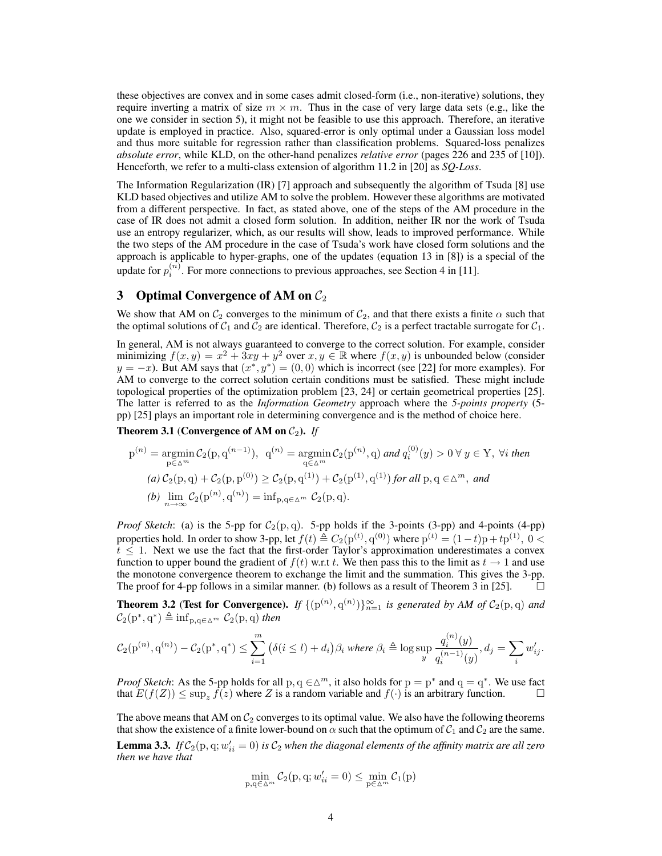these objectives are convex and in some cases admit closed-form (i.e., non-iterative) solutions, they require inverting a matrix of size  $m \times m$ . Thus in the case of very large data sets (e.g., like the one we consider in section 5), it might not be feasible to use this approach. Therefore, an iterative update is employed in practice. Also, squared-error is only optimal under a Gaussian loss model and thus more suitable for regression rather than classification problems. Squared-loss penalizes *absolute error*, while KLD, on the other-hand penalizes *relative error* (pages 226 and 235 of [10]). Henceforth, we refer to a multi-class extension of algorithm 11.2 in [20] as *SQ-Loss*.

The Information Regularization (IR) [7] approach and subsequently the algorithm of Tsuda [8] use KLD based objectives and utilize AM to solve the problem. However these algorithms are motivated from a different perspective. In fact, as stated above, one of the steps of the AM procedure in the case of IR does not admit a closed form solution. In addition, neither IR nor the work of Tsuda use an entropy regularizer, which, as our results will show, leads to improved performance. While the two steps of the AM procedure in the case of Tsuda's work have closed form solutions and the approach is applicable to hyper-graphs, one of the updates (equation 13 in [8]) is a special of the update for  $p_i^{(n)}$ . For more connections to previous approaches, see Section 4 in [11].

## 3 Optimal Convergence of AM on  $C_2$

We show that AM on  $C_2$  converges to the minimum of  $C_2$ , and that there exists a finite  $\alpha$  such that the optimal solutions of  $C_1$  and  $C_2$  are identical. Therefore,  $C_2$  is a perfect tractable surrogate for  $C_1$ .

In general, AM is not always guaranteed to converge to the correct solution. For example, consider minimizing  $f(x, y) = x^2 + 3xy + y^2$  over  $x, y \in \mathbb{R}$  where  $f(x, y)$  is unbounded below (consider  $y = -x$ ). But AM says that  $(x^*, y^*) = (0, 0)$  which is incorrect (see [22] for more examples). For AM to converge to the correct solution certain conditions must be satisfied. These might include topological properties of the optimization problem [23, 24] or certain geometrical properties [25]. The latter is referred to as the *Information Geometry* approach where the *5-points property* (5 pp) [25] plays an important role in determining convergence and is the method of choice here.

**Theorem 3.1** (Convergence of AM on  $C_2$ ). If

$$
p^{(n)} = \underset{p \in \Delta^{m}}{\operatorname{argmin}} \mathcal{C}_{2}(p, q^{(n-1)}), \quad q^{(n)} = \underset{q \in \Delta^{m}}{\operatorname{argmin}} \mathcal{C}_{2}(p^{(n)}, q) \text{ and } q_{i}^{(0)}(y) > 0 \ \forall \ y \in Y, \ \forall i \ \text{then}
$$
\n
$$
(a) \ \mathcal{C}_{2}(p, q) + \mathcal{C}_{2}(p, p^{(0)}) \ge \mathcal{C}_{2}(p, q^{(1)}) + \mathcal{C}_{2}(p^{(1)}, q^{(1)}) \text{ for all } p, q \in \Delta^{m}, \text{ and}
$$
\n
$$
(b) \ \underset{n \to \infty}{\lim} \mathcal{C}_{2}(p^{(n)}, q^{(n)}) = \underset{n \to \infty}{\inf} \mathcal{C}_{2}(p, q).
$$

*Proof Sketch*: (a) is the 5-pp for  $C_2(p,q)$ . 5-pp holds if the 3-points (3-pp) and 4-points (4-pp) properties hold. In order to show 3-pp, let  $f(t) \triangleq C_2(p^{(t)}, q^{(0)})$  where  $p^{(t)} = (1-t)p + tp^{(1)}, 0 <$  $t \leq 1$ . Next we use the fact that the first-order Taylor's approximation underestimates a convex function to upper bound the gradient of  $f(t)$  w.r.t t. We then pass this to the limit as  $t \to 1$  and use the monotone convergence theorem to exchange the limit and the summation. This gives the 3-pp. The proof for 4-pp follows in a similar manner. (b) follows as a result of Theorem 3 in [25].  $\Box$ 

**Theorem 3.2 (Test for Convergence).** *If*  $\{(\mathbf{p}^{(n)}, \mathbf{q}^{(n)})\}_{n=1}^{\infty}$  *is generated by AM of*  $C_2(\mathbf{p}, \mathbf{q})$  *and*  $C_2(p^*,q^*) \triangleq \inf_{p,q \in \Delta^m} C_2(p,q)$  then

$$
\mathcal{C}_2(\mathrm{p}^{(n)}, \mathrm{q}^{(n)}) - \mathcal{C}_2(\mathrm{p}^*, \mathrm{q}^*) \le \sum_{i=1}^m \left( \delta(i \le l) + d_i \right) \beta_i \text{ where } \beta_i \triangleq \log \sup_y \frac{q_i^{(n)}(y)}{q_i^{(n-1)}(y)}, d_j = \sum_i w'_{ij}.
$$

*Proof Sketch*: As the 5-pp holds for all p,  $q \in \Delta^m$ , it also holds for  $p = p^*$  and  $q = q^*$ . We use fact that  $E(f(Z)) \le \sup_z \hat{f}(z)$  where Z is a random variable and  $f(\cdot)$  is an arbitrary function.

The above means that AM on  $C_2$  converges to its optimal value. We also have the following theorems that show the existence of a finite lower-bound on  $\alpha$  such that the optimum of  $C_1$  and  $C_2$  are the same. **Lemma 3.3.** If  $C_2(p, q; w'_{ii} = 0)$  is  $C_2$  when the diagonal elements of the affinity matrix are all zero *then we have that*

$$
\min_{p,q \in \Delta^m} C_2(p,q;w'_{ii} = 0) \le \min_{p \in \Delta^m} C_1(p)
$$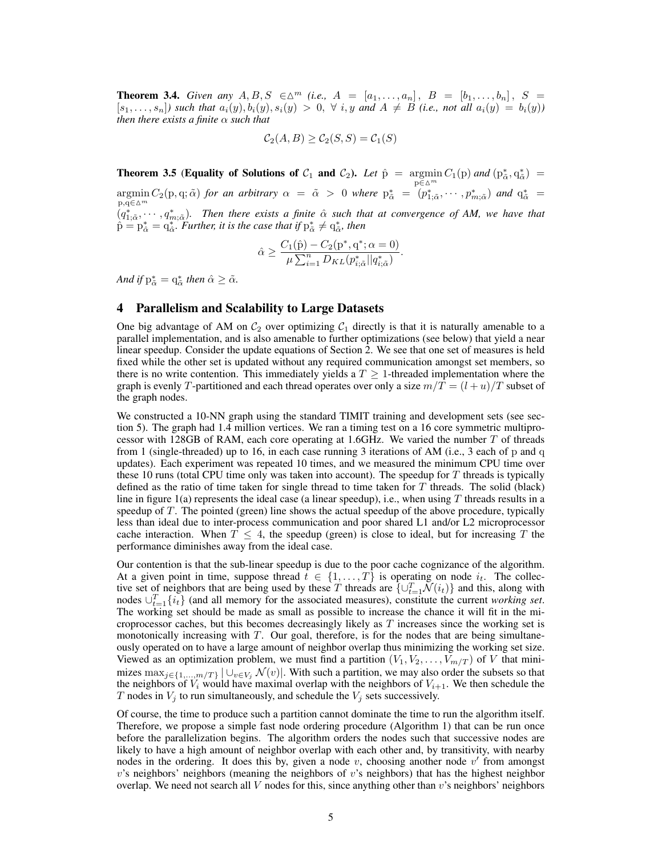**Theorem 3.4.** *Given any*  $A, B, S \in \Delta^m$  *(i.e.,*  $A = [a_1, \ldots, a_n], B = [b_1, \ldots, b_n], S =$  $[s_1, \ldots, s_n]$  such that  $a_i(y), b_i(y), s_i(y) > 0$ ,  $\forall i, y$  and  $A \neq B$  *(i.e., not all*  $a_i(y) = b_i(y)$ ) *then there exists a finite* α *such that*

$$
\mathcal{C}_2(A, B) \ge \mathcal{C}_2(S, S) = \mathcal{C}_1(S)
$$

**Theorem 3.5 (Equality of Solutions of**  $C_1$  **and**  $C_2$ **).** *Let*  $\hat{p} = \operatorname*{argmin}_{p \in \Delta^m} C_1(p)$  and  $(p^*_{\tilde{\alpha}}, q^*_{\tilde{\alpha}}) =$  $\operatorname*{argmin}_{p,q\in\Delta^m} C_2(p,q;\tilde{\alpha})$  *for an arbitrary*  $\alpha = \tilde{\alpha} > 0$  *where*  $p^*_{\tilde{\alpha}} = (p^*_{1;\tilde{\alpha}}, \cdots, p^*_{m;\tilde{\alpha}})$  *and*  $q^*_{\tilde{\alpha}} = p^*_{1;\tilde{\alpha}}$  $(q_{1,\tilde{\alpha}}^*, \cdots, q_{m,\tilde{\alpha}}^*)$ . Then there exists a finite  $\hat{\alpha}$  such that at convergence of AM, we have that  $\hat{p} = p_{\hat{\alpha}}^* = q_{\hat{\alpha}}^*$ . *Further, it is the case that if*  $p_{\tilde{\alpha}}^* \neq q_{\tilde{\alpha}}^*$ , *then* 

$$
\hat{\alpha} \ge \frac{C_1(\hat{p}) - C_2(p^*, q^*; \alpha = 0)}{\mu \sum_{i=1}^n D_{KL}(p^*_{i,\tilde{\alpha}} || q^*_{i,\tilde{\alpha}})}.
$$

And if  $p^*_{\tilde{\alpha}} = q^*_{\tilde{\alpha}}$  then  $\hat{\alpha} \geq \tilde{\alpha}$ .

#### 4 Parallelism and Scalability to Large Datasets

One big advantage of AM on  $C_2$  over optimizing  $C_1$  directly is that it is naturally amenable to a parallel implementation, and is also amenable to further optimizations (see below) that yield a near linear speedup. Consider the update equations of Section 2. We see that one set of measures is held fixed while the other set is updated without any required communication amongst set members, so there is no write contention. This immediately yields a  $T \geq 1$ -threaded implementation where the graph is evenly T-partitioned and each thread operates over only a size  $m/T = (l + u)/T$  subset of the graph nodes.

We constructed a 10-NN graph using the standard TIMIT training and development sets (see section 5). The graph had 1.4 million vertices. We ran a timing test on a 16 core symmetric multiprocessor with 128GB of RAM, each core operating at 1.6GHz. We varied the number  $T$  of threads from 1 (single-threaded) up to 16, in each case running 3 iterations of AM (i.e., 3 each of p and q updates). Each experiment was repeated 10 times, and we measured the minimum CPU time over these 10 runs (total CPU time only was taken into account). The speedup for T threads is typically defined as the ratio of time taken for single thread to time taken for  $T$  threads. The solid (black) line in figure 1(a) represents the ideal case (a linear speedup), i.e., when using  $T$  threads results in a speedup of T. The pointed (green) line shows the actual speedup of the above procedure, typically less than ideal due to inter-process communication and poor shared L1 and/or L2 microprocessor cache interaction. When  $T \leq 4$ , the speedup (green) is close to ideal, but for increasing T the performance diminishes away from the ideal case.

Our contention is that the sub-linear speedup is due to the poor cache cognizance of the algorithm. At a given point in time, suppose thread  $t \in \{1, ..., T\}$  is operating on node  $i_t$ . The collective set of neighbors that are being used by these T threads are  $\{ \cup_{t=1}^T \mathcal{N}(i_t) \}$  and this, along with nodes  $\cup_{t=1}^{T} \{i_t\}$  (and all memory for the associated measures), constitute the current *working set*. The working set should be made as small as possible to increase the chance it will fit in the microprocessor caches, but this becomes decreasingly likely as  $T$  increases since the working set is monotonically increasing with  $T$ . Our goal, therefore, is for the nodes that are being simultaneously operated on to have a large amount of neighbor overlap thus minimizing the working set size. Viewed as an optimization problem, we must find a partition  $(V_1, V_2, \ldots, V_{m/T})$  of V that minimizes  $\max_{j\in\{1,\ldots,m/T\}} |\bigcup_{v\in V_j} \mathcal{N}(v)|$ . With such a partition, we may also order the subsets so that the neighbors of  $V_i$  would have maximal overlap with the neighbors of  $V_{i+1}$ . We then schedule the T nodes in  $V_j$  to run simultaneously, and schedule the  $V_j$  sets successively.

Of course, the time to produce such a partition cannot dominate the time to run the algorithm itself. Therefore, we propose a simple fast node ordering procedure (Algorithm 1) that can be run once before the parallelization begins. The algorithm orders the nodes such that successive nodes are likely to have a high amount of neighbor overlap with each other and, by transitivity, with nearby nodes in the ordering. It does this by, given a node  $v$ , choosing another node  $v'$  from amongst  $v$ 's neighbors' neighbors (meaning the neighbors of  $v$ 's neighbors) that has the highest neighbor overlap. We need not search all  $V$  nodes for this, since anything other than  $v$ 's neighbors' neighbors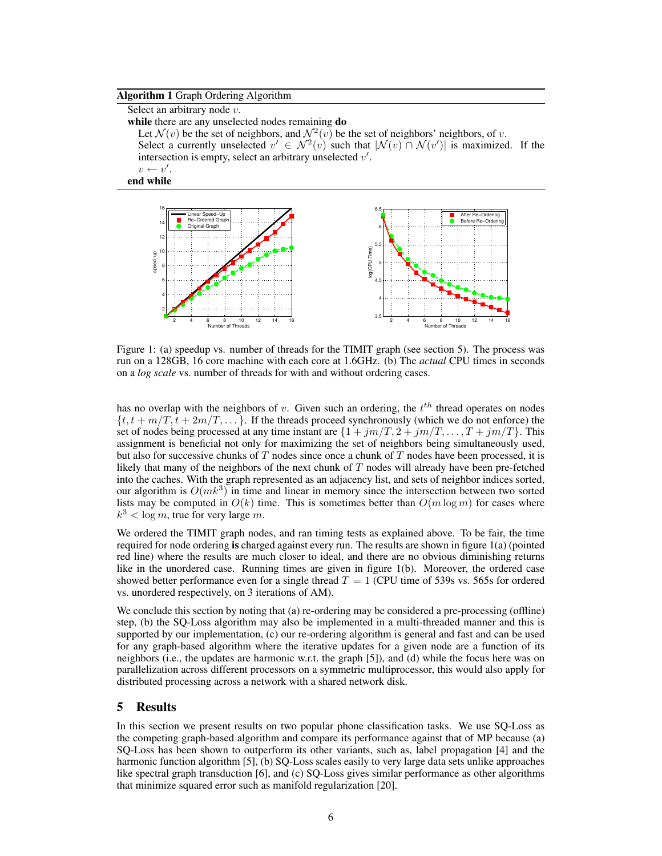#### Algorithm 1 Graph Ordering Algorithm

Select an arbitrary node  $v$ . while there are any unselected nodes remaining **do** Let  $\mathcal{N}(v)$  be the set of neighbors, and  $\mathcal{N}^2(v)$  be the set of neighbors' neighbors, of v. Select a currently unselected  $v' \in \mathcal{N}^2(v)$  such that  $|\mathcal{N}(v) \cap \mathcal{N}(v')|$  is maximized. If the intersection is empty, select an arbitrary unselected  $v'$ .  $v \leftarrow v'.$ 

end while



Figure 1: (a) speedup vs. number of threads for the TIMIT graph (see section 5). The process was run on a 128GB, 16 core machine with each core at 1.6GHz. (b) The *actual* CPU times in seconds on a *log scale* vs. number of threads for with and without ordering cases.

has no overlap with the neighbors of v. Given such an ordering, the  $t^{th}$  thread operates on nodes  $\{t, t + m/T, t + 2m/T, \dots\}$ . If the threads proceed synchronously (which we do not enforce) the set of nodes being processed at any time instant are  $\{1 + jm/T, 2 + jm/T, ..., T + jm/T\}$ . This assignment is beneficial not only for maximizing the set of neighbors being simultaneously used, but also for successive chunks of  $T$  nodes since once a chunk of  $T$  nodes have been processed, it is likely that many of the neighbors of the next chunk of T nodes will already have been pre-fetched into the caches. With the graph represented as an adjacency list, and sets of neighbor indices sorted, our algorithm is  $O(mk^3)$  in time and linear in memory since the intersection between two sorted lists may be computed in  $O(k)$  time. This is sometimes better than  $O(m \log m)$  for cases where  $k^3 < \log m$ , true for very large m.

We ordered the TIMIT graph nodes, and ran timing tests as explained above. To be fair, the time required for node ordering is charged against every run. The results are shown in figure 1(a) (pointed red line) where the results are much closer to ideal, and there are no obvious diminishing returns like in the unordered case. Running times are given in figure 1(b). Moreover, the ordered case showed better performance even for a single thread  $T = 1$  (CPU time of 539s vs. 565s for ordered vs. unordered respectively, on 3 iterations of AM).

We conclude this section by noting that (a) re-ordering may be considered a pre-processing (offline) step, (b) the SQ-Loss algorithm may also be implemented in a multi-threaded manner and this is supported by our implementation, (c) our re-ordering algorithm is general and fast and can be used for any graph-based algorithm where the iterative updates for a given node are a function of its neighbors (i.e., the updates are harmonic w.r.t. the graph [5]), and (d) while the focus here was on parallelization across different processors on a symmetric multiprocessor, this would also apply for distributed processing across a network with a shared network disk.

## 5 Results

In this section we present results on two popular phone classification tasks. We use SQ-Loss as the competing graph-based algorithm and compare its performance against that of MP because (a) SQ-Loss has been shown to outperform its other variants, such as, label propagation [4] and the harmonic function algorithm [5], (b) SQ-Loss scales easily to very large data sets unlike approaches like spectral graph transduction [6], and (c) SQ-Loss gives similar performance as other algorithms that minimize squared error such as manifold regularization [20].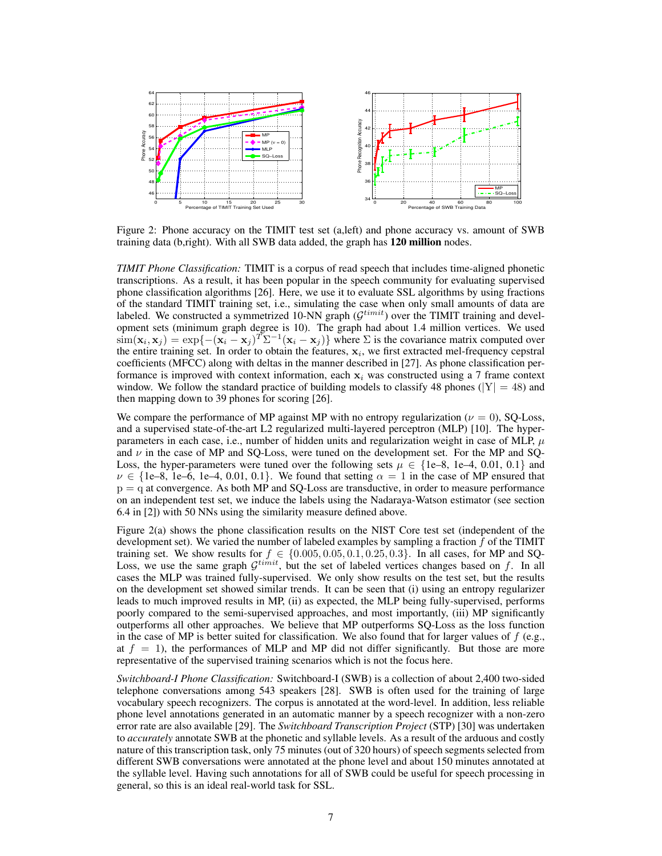

Figure 2: Phone accuracy on the TIMIT test set (a,left) and phone accuracy vs. amount of SWB training data (b,right). With all SWB data added, the graph has 120 million nodes.

*TIMIT Phone Classification:* TIMIT is a corpus of read speech that includes time-aligned phonetic transcriptions. As a result, it has been popular in the speech community for evaluating supervised phone classification algorithms [26]. Here, we use it to evaluate SSL algorithms by using fractions of the standard TIMIT training set, i.e., simulating the case when only small amounts of data are labeled. We constructed a symmetrized 10-NN graph ( $\mathcal{G}^{timit}$ ) over the TIMIT training and development sets (minimum graph degree is 10). The graph had about 1.4 million vertices. We used  $\text{sim}(\mathbf{x}_i, \mathbf{x}_j) = \exp\{-(\mathbf{x}_i - \mathbf{x}_j)^T \Sigma^{-1} (\mathbf{x}_i - \mathbf{x}_j)\}\$  where  $\Sigma$  is the covariance matrix computed over the entire training set. In order to obtain the features,  $x_i$ , we first extracted mel-frequency cepstral coefficients (MFCC) along with deltas in the manner described in [27]. As phone classification performance is improved with context information, each  $x_i$  was constructed using a 7 frame context window. We follow the standard practice of building models to classify 48 phones ( $|Y| = 48$ ) and then mapping down to 39 phones for scoring [26].

We compare the performance of MP against MP with no entropy regularization ( $\nu = 0$ ), SQ-Loss, and a supervised state-of-the-art L2 regularized multi-layered perceptron (MLP) [10]. The hyperparameters in each case, i.e., number of hidden units and regularization weight in case of MLP,  $\mu$ and  $\nu$  in the case of MP and SQ-Loss, were tuned on the development set. For the MP and SQ-Loss, the hyper-parameters were tuned over the following sets  $\mu \in \{1e-8, 1e-4, 0.01, 0.1\}$  and  $\nu \in \{1e-8, 1e-6, 1e-4, 0.01, 0.1\}$ . We found that setting  $\alpha = 1$  in the case of MP ensured that  $p = q$  at convergence. As both MP and SQ-Loss are transductive, in order to measure performance on an independent test set, we induce the labels using the Nadaraya-Watson estimator (see section 6.4 in [2]) with 50 NNs using the similarity measure defined above.

Figure 2(a) shows the phone classification results on the NIST Core test set (independent of the development set). We varied the number of labeled examples by sampling a fraction  $f$  of the TIMIT training set. We show results for  $f \in \{0.005, 0.05, 0.1, 0.25, 0.3\}$ . In all cases, for MP and SQ-Loss, we use the same graph  $\mathcal{G}^{timit}$ , but the set of labeled vertices changes based on f. In all cases the MLP was trained fully-supervised. We only show results on the test set, but the results on the development set showed similar trends. It can be seen that (i) using an entropy regularizer leads to much improved results in MP, (ii) as expected, the MLP being fully-supervised, performs poorly compared to the semi-supervised approaches, and most importantly, (iii) MP significantly outperforms all other approaches. We believe that MP outperforms SQ-Loss as the loss function in the case of MP is better suited for classification. We also found that for larger values of  $f$  (e.g., at  $f = 1$ ), the performances of MLP and MP did not differ significantly. But those are more representative of the supervised training scenarios which is not the focus here.

*Switchboard-I Phone Classification:* Switchboard-I (SWB) is a collection of about 2,400 two-sided telephone conversations among 543 speakers [28]. SWB is often used for the training of large vocabulary speech recognizers. The corpus is annotated at the word-level. In addition, less reliable phone level annotations generated in an automatic manner by a speech recognizer with a non-zero error rate are also available [29]. The *Switchboard Transcription Project* (STP) [30] was undertaken to *accurately* annotate SWB at the phonetic and syllable levels. As a result of the arduous and costly nature of this transcription task, only 75 minutes (out of 320 hours) of speech segments selected from different SWB conversations were annotated at the phone level and about 150 minutes annotated at the syllable level. Having such annotations for all of SWB could be useful for speech processing in general, so this is an ideal real-world task for SSL.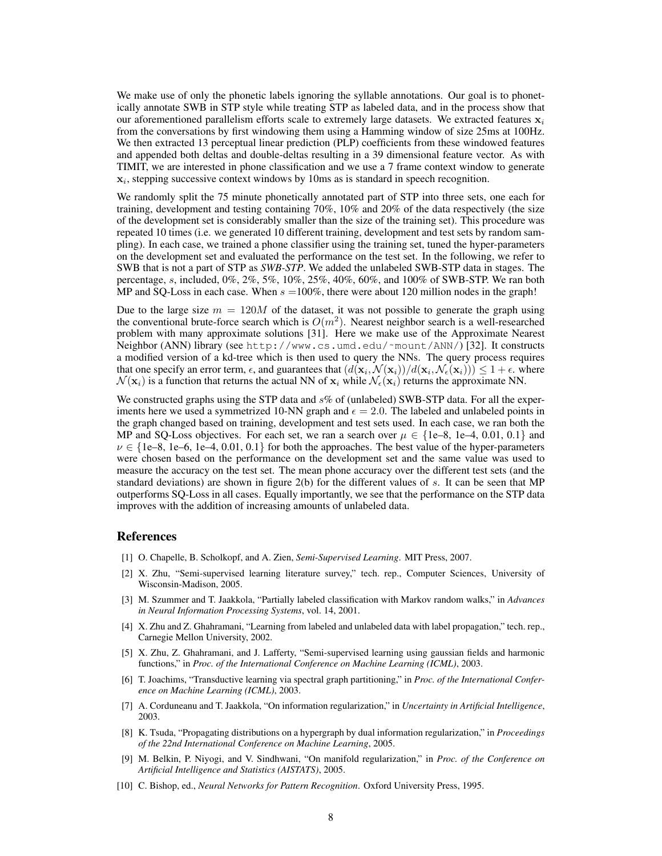We make use of only the phonetic labels ignoring the syllable annotations. Our goal is to phonetically annotate SWB in STP style while treating STP as labeled data, and in the process show that our aforementioned parallelism efforts scale to extremely large datasets. We extracted features  $x_i$ from the conversations by first windowing them using a Hamming window of size 25ms at 100Hz. We then extracted 13 perceptual linear prediction (PLP) coefficients from these windowed features and appended both deltas and double-deltas resulting in a 39 dimensional feature vector. As with TIMIT, we are interested in phone classification and we use a 7 frame context window to generate  $x_i$ , stepping successive context windows by 10ms as is standard in speech recognition.

We randomly split the 75 minute phonetically annotated part of STP into three sets, one each for training, development and testing containing 70%, 10% and 20% of the data respectively (the size of the development set is considerably smaller than the size of the training set). This procedure was repeated 10 times (i.e. we generated 10 different training, development and test sets by random sampling). In each case, we trained a phone classifier using the training set, tuned the hyper-parameters on the development set and evaluated the performance on the test set. In the following, we refer to SWB that is not a part of STP as *SWB-STP*. We added the unlabeled SWB-STP data in stages. The percentage, s, included, 0%, 2%, 5%, 10%, 25%, 40%, 60%, and 100% of SWB-STP. We ran both MP and SQ-Loss in each case. When  $s = 100\%$ , there were about 120 million nodes in the graph!

Due to the large size  $m = 120M$  of the dataset, it was not possible to generate the graph using the conventional brute-force search which is  $O(m^2)$ . Nearest neighbor search is a well-researched problem with many approximate solutions [31]. Here we make use of the Approximate Nearest Neighbor (ANN) library (see http://www.cs.umd.edu/˜mount/ANN/) [32]. It constructs a modified version of a kd-tree which is then used to query the NNs. The query process requires that one specify an error term,  $\epsilon$ , and guarantees that  $(d(\mathbf{x}_i, \mathcal{N}(\mathbf{x}_i))/d(\mathbf{x}_i, \mathcal{N}_{\epsilon}(\mathbf{x}_i))) \leq 1 + \epsilon$ . where  $\mathcal{N}(\mathbf{x}_i)$  is a function that returns the actual NN of  $\mathbf{x}_i$  while  $\mathcal{N}_{\epsilon}(\mathbf{x}_i)$  returns the approximate NN.

We constructed graphs using the STP data and  $s\%$  of (unlabeled) SWB-STP data. For all the experiments here we used a symmetrized 10-NN graph and  $\epsilon = 2.0$ . The labeled and unlabeled points in the graph changed based on training, development and test sets used. In each case, we ran both the MP and SQ-Loss objectives. For each set, we ran a search over  $\mu \in \{1e-8, 1e-4, 0.01, 0.1\}$  and  $\nu \in \{1e-8, 1e-6, 1e-4, 0.01, 0.1\}$  for both the approaches. The best value of the hyper-parameters were chosen based on the performance on the development set and the same value was used to measure the accuracy on the test set. The mean phone accuracy over the different test sets (and the standard deviations) are shown in figure 2(b) for the different values of s. It can be seen that MP outperforms SQ-Loss in all cases. Equally importantly, we see that the performance on the STP data improves with the addition of increasing amounts of unlabeled data.

#### References

- [1] O. Chapelle, B. Scholkopf, and A. Zien, *Semi-Supervised Learning*. MIT Press, 2007.
- [2] X. Zhu, "Semi-supervised learning literature survey," tech. rep., Computer Sciences, University of Wisconsin-Madison, 2005.
- [3] M. Szummer and T. Jaakkola, "Partially labeled classification with Markov random walks," in *Advances in Neural Information Processing Systems*, vol. 14, 2001.
- [4] X. Zhu and Z. Ghahramani, "Learning from labeled and unlabeled data with label propagation," tech. rep., Carnegie Mellon University, 2002.
- [5] X. Zhu, Z. Ghahramani, and J. Lafferty, "Semi-supervised learning using gaussian fields and harmonic functions," in *Proc. of the International Conference on Machine Learning (ICML)*, 2003.
- [6] T. Joachims, "Transductive learning via spectral graph partitioning," in *Proc. of the International Conference on Machine Learning (ICML)*, 2003.
- [7] A. Corduneanu and T. Jaakkola, "On information regularization," in *Uncertainty in Artificial Intelligence*, 2003.
- [8] K. Tsuda, "Propagating distributions on a hypergraph by dual information regularization," in *Proceedings of the 22nd International Conference on Machine Learning*, 2005.
- [9] M. Belkin, P. Niyogi, and V. Sindhwani, "On manifold regularization," in *Proc. of the Conference on Artificial Intelligence and Statistics (AISTATS)*, 2005.
- [10] C. Bishop, ed., *Neural Networks for Pattern Recognition*. Oxford University Press, 1995.